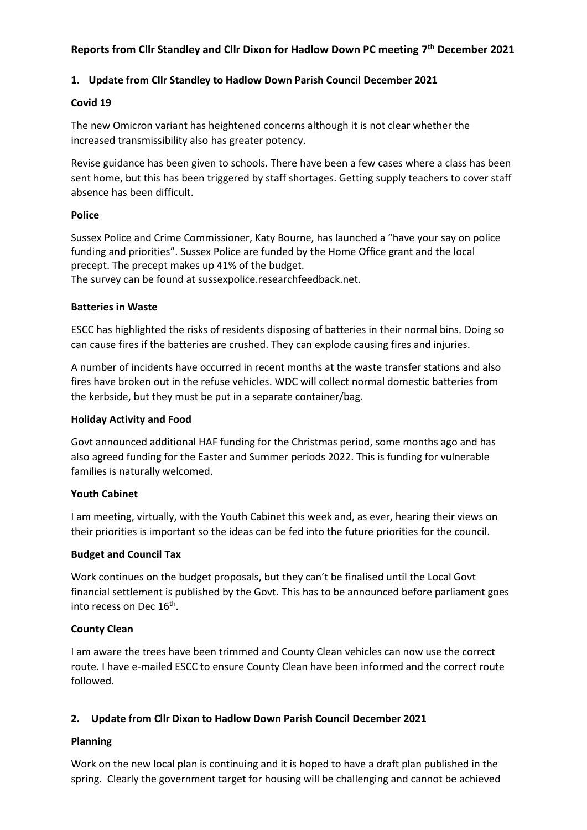# **Reports from Cllr Standley and Cllr Dixon for Hadlow Down PC meeting 7 th December 2021**

### **1. Update from Cllr Standley to Hadlow Down Parish Council December 2021**

#### **Covid 19**

The new Omicron variant has heightened concerns although it is not clear whether the increased transmissibility also has greater potency.

Revise guidance has been given to schools. There have been a few cases where a class has been sent home, but this has been triggered by staff shortages. Getting supply teachers to cover staff absence has been difficult.

#### **Police**

Sussex Police and Crime Commissioner, Katy Bourne, has launched a "have your say on police funding and priorities". Sussex Police are funded by the Home Office grant and the local precept. The precept makes up 41% of the budget. The survey can be found at sussexpolice.researchfeedback.net.

#### **Batteries in Waste**

ESCC has highlighted the risks of residents disposing of batteries in their normal bins. Doing so can cause fires if the batteries are crushed. They can explode causing fires and injuries.

A number of incidents have occurred in recent months at the waste transfer stations and also fires have broken out in the refuse vehicles. WDC will collect normal domestic batteries from the kerbside, but they must be put in a separate container/bag.

#### **Holiday Activity and Food**

Govt announced additional HAF funding for the Christmas period, some months ago and has also agreed funding for the Easter and Summer periods 2022. This is funding for vulnerable families is naturally welcomed.

#### **Youth Cabinet**

I am meeting, virtually, with the Youth Cabinet this week and, as ever, hearing their views on their priorities is important so the ideas can be fed into the future priorities for the council.

#### **Budget and Council Tax**

Work continues on the budget proposals, but they can't be finalised until the Local Govt financial settlement is published by the Govt. This has to be announced before parliament goes into recess on Dec 16<sup>th</sup>.

#### **County Clean**

I am aware the trees have been trimmed and County Clean vehicles can now use the correct route. I have e-mailed ESCC to ensure County Clean have been informed and the correct route followed.

## **2. Update from Cllr Dixon to Hadlow Down Parish Council December 2021**

## **Planning**

Work on the new local plan is continuing and it is hoped to have a draft plan published in the spring. Clearly the government target for housing will be challenging and cannot be achieved